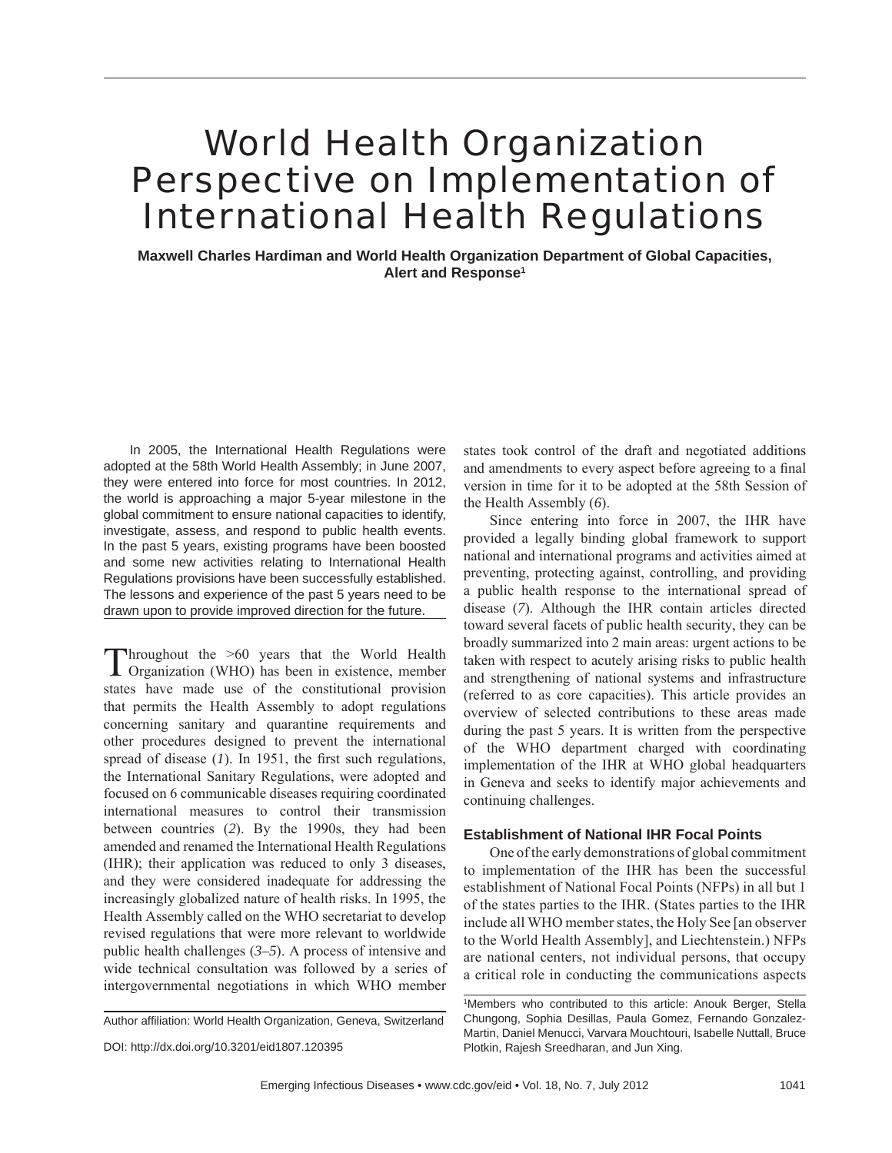# World Health Organization Perspective on Implementation of International Health Regulations

**Maxwell Charles Hardiman and World Health Organization Department of Global Capacities, Alert and Response1**

In 2005, the International Health Regulations were adopted at the 58th World Health Assembly; in June 2007, they were entered into force for most countries. In 2012, the world is approaching a major 5-year milestone in the global commitment to ensure national capacities to identify, investigate, assess, and respond to public health events. In the past 5 years, existing programs have been boosted and some new activities relating to International Health Regulations provisions have been successfully established. The lessons and experience of the past 5 years need to be drawn upon to provide improved direction for the future.

Throughout the >60 years that the World Health Organization (WHO) has been in existence, member states have made use of the constitutional provision that permits the Health Assembly to adopt regulations concerning sanitary and quarantine requirements and other procedures designed to prevent the international spread of disease  $(1)$ . In 1951, the first such regulations, the International Sanitary Regulations, were adopted and focused on 6 communicable diseases requiring coordinated international measures to control their transmission between countries (*2*). By the 1990s, they had been amended and renamed the International Health Regulations (IHR); their application was reduced to only 3 diseases, and they were considered inadequate for addressing the increasingly globalized nature of health risks. In 1995, the Health Assembly called on the WHO secretariat to develop revised regulations that were more relevant to worldwide public health challenges (*3–5*). A process of intensive and wide technical consultation was followed by a series of intergovernmental negotiations in which WHO member

states took control of the draft and negotiated additions and amendments to every aspect before agreeing to a final version in time for it to be adopted at the 58th Session of the Health Assembly (*6*).

Since entering into force in 2007, the IHR have provided a legally binding global framework to support national and international programs and activities aimed at preventing, protecting against, controlling, and providing a public health response to the international spread of disease (*7*). Although the IHR contain articles directed toward several facets of public health security, they can be broadly summarized into 2 main areas: urgent actions to be taken with respect to acutely arising risks to public health and strengthening of national systems and infrastructure (referred to as core capacities). This article provides an overview of selected contributions to these areas made during the past 5 years. It is written from the perspective of the WHO department charged with coordinating implementation of the IHR at WHO global headquarters in Geneva and seeks to identify major achievements and continuing challenges.

#### **Establishment of National IHR Focal Points**

One of the early demonstrations of global commitment to implementation of the IHR has been the successful establishment of National Focal Points (NFPs) in all but 1 of the states parties to the IHR. (States parties to the IHR include all WHO member states, the Holy See [an observer to the World Health Assembly], and Liechtenstein.) NFPs are national centers, not individual persons, that occupy a critical role in conducting the communications aspects

Author affiliation: World Health Organization, Geneva, Switzerland

DOI: http://dx.doi.org/10.3201/eid1807.120395

<sup>&</sup>lt;sup>1</sup>Members who contributed to this article: Anouk Berger, Stella Chungong, Sophia Desillas, Paula Gomez, Fernando Gonzalez-Martin, Daniel Menucci, Varvara Mouchtouri, Isabelle Nuttall, Bruce Plotkin, Rajesh Sreedharan, and Jun Xing.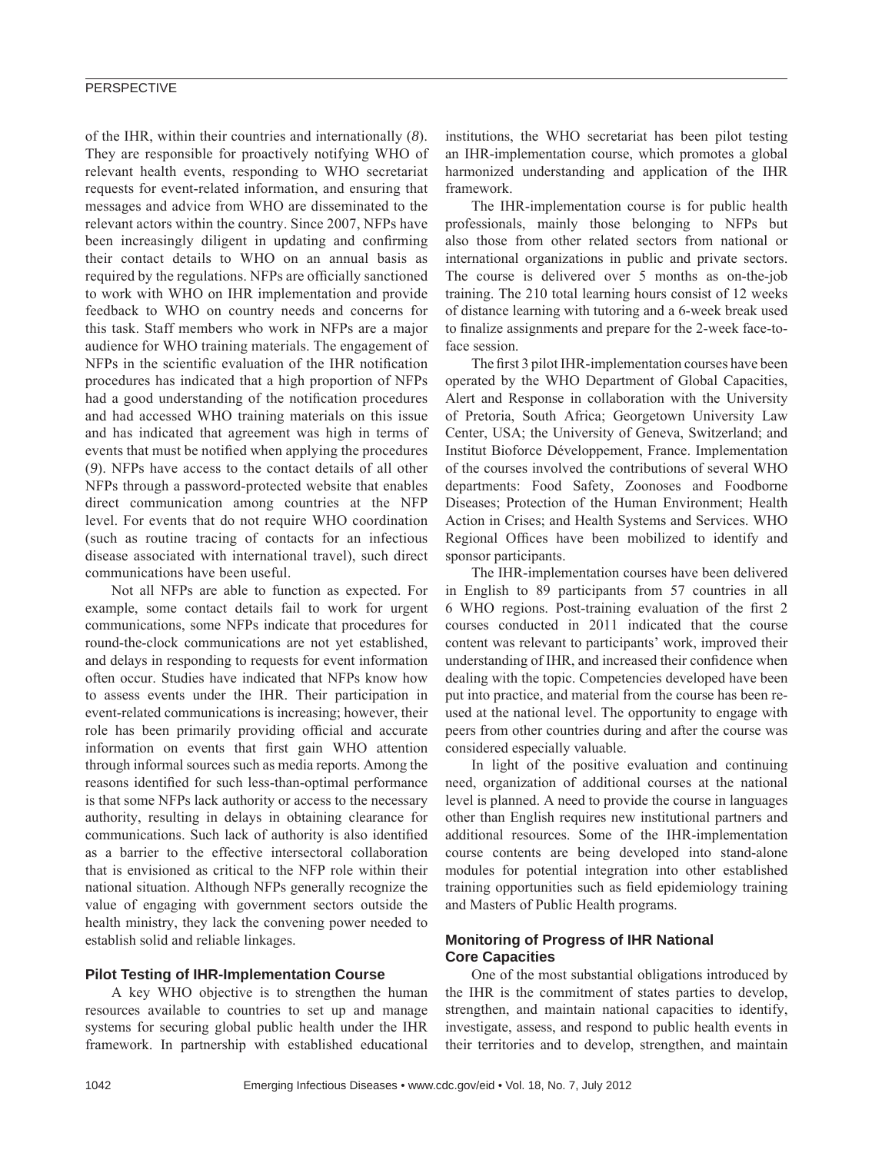## **PERSPECTIVE**

of the IHR, within their countries and internationally (*8*). They are responsible for proactively notifying WHO of relevant health events, responding to WHO secretariat requests for event-related information, and ensuring that messages and advice from WHO are disseminated to the relevant actors within the country. Since 2007, NFPs have been increasingly diligent in updating and confirming their contact details to WHO on an annual basis as required by the regulations. NFPs are officially sanctioned to work with WHO on IHR implementation and provide feedback to WHO on country needs and concerns for this task. Staff members who work in NFPs are a major audience for WHO training materials. The engagement of NFPs in the scientific evaluation of the IHR notification procedures has indicated that a high proportion of NFPs had a good understanding of the notification procedures and had accessed WHO training materials on this issue and has indicated that agreement was high in terms of events that must be notified when applying the procedures (*9*). NFPs have access to the contact details of all other NFPs through a password-protected website that enables direct communication among countries at the NFP level. For events that do not require WHO coordination (such as routine tracing of contacts for an infectious disease associated with international travel), such direct communications have been useful.

Not all NFPs are able to function as expected. For example, some contact details fail to work for urgent communications, some NFPs indicate that procedures for round-the-clock communications are not yet established, and delays in responding to requests for event information often occur. Studies have indicated that NFPs know how to assess events under the IHR. Their participation in event-related communications is increasing; however, their role has been primarily providing official and accurate information on events that first gain WHO attention through informal sources such as media reports. Among the reasons identified for such less-than-optimal performance is that some NFPs lack authority or access to the necessary authority, resulting in delays in obtaining clearance for communications. Such lack of authority is also identified as a barrier to the effective intersectoral collaboration that is envisioned as critical to the NFP role within their national situation. Although NFPs generally recognize the value of engaging with government sectors outside the health ministry, they lack the convening power needed to establish solid and reliable linkages.

#### **Pilot Testing of IHR-Implementation Course**

A key WHO objective is to strengthen the human resources available to countries to set up and manage systems for securing global public health under the IHR framework. In partnership with established educational institutions, the WHO secretariat has been pilot testing an IHR-implementation course, which promotes a global harmonized understanding and application of the IHR framework.

The IHR-implementation course is for public health professionals, mainly those belonging to NFPs but also those from other related sectors from national or international organizations in public and private sectors. The course is delivered over 5 months as on-the-job training. The 210 total learning hours consist of 12 weeks of distance learning with tutoring and a 6-week break used to finalize assignments and prepare for the 2-week face-toface session.

The first 3 pilot IHR-implementation courses have been operated by the WHO Department of Global Capacities, Alert and Response in collaboration with the University of Pretoria, South Africa; Georgetown University Law Center, USA; the University of Geneva, Switzerland; and Institut Bioforce Développement, France. Implementation of the courses involved the contributions of several WHO departments: Food Safety, Zoonoses and Foodborne Diseases; Protection of the Human Environment; Health Action in Crises; and Health Systems and Services. WHO Regional Offices have been mobilized to identify and sponsor participants.

The IHR-implementation courses have been delivered in English to 89 participants from 57 countries in all 6 WHO regions. Post-training evaluation of the first 2 courses conducted in 2011 indicated that the course content was relevant to participants' work, improved their understanding of IHR, and increased their confidence when dealing with the topic. Competencies developed have been put into practice, and material from the course has been reused at the national level. The opportunity to engage with peers from other countries during and after the course was considered especially valuable.

In light of the positive evaluation and continuing need, organization of additional courses at the national level is planned. A need to provide the course in languages other than English requires new institutional partners and additional resources. Some of the IHR-implementation course contents are being developed into stand-alone modules for potential integration into other established training opportunities such as field epidemiology training and Masters of Public Health programs.

#### **Monitoring of Progress of IHR National Core Capacities**

One of the most substantial obligations introduced by the IHR is the commitment of states parties to develop, strengthen, and maintain national capacities to identify, investigate, assess, and respond to public health events in their territories and to develop, strengthen, and maintain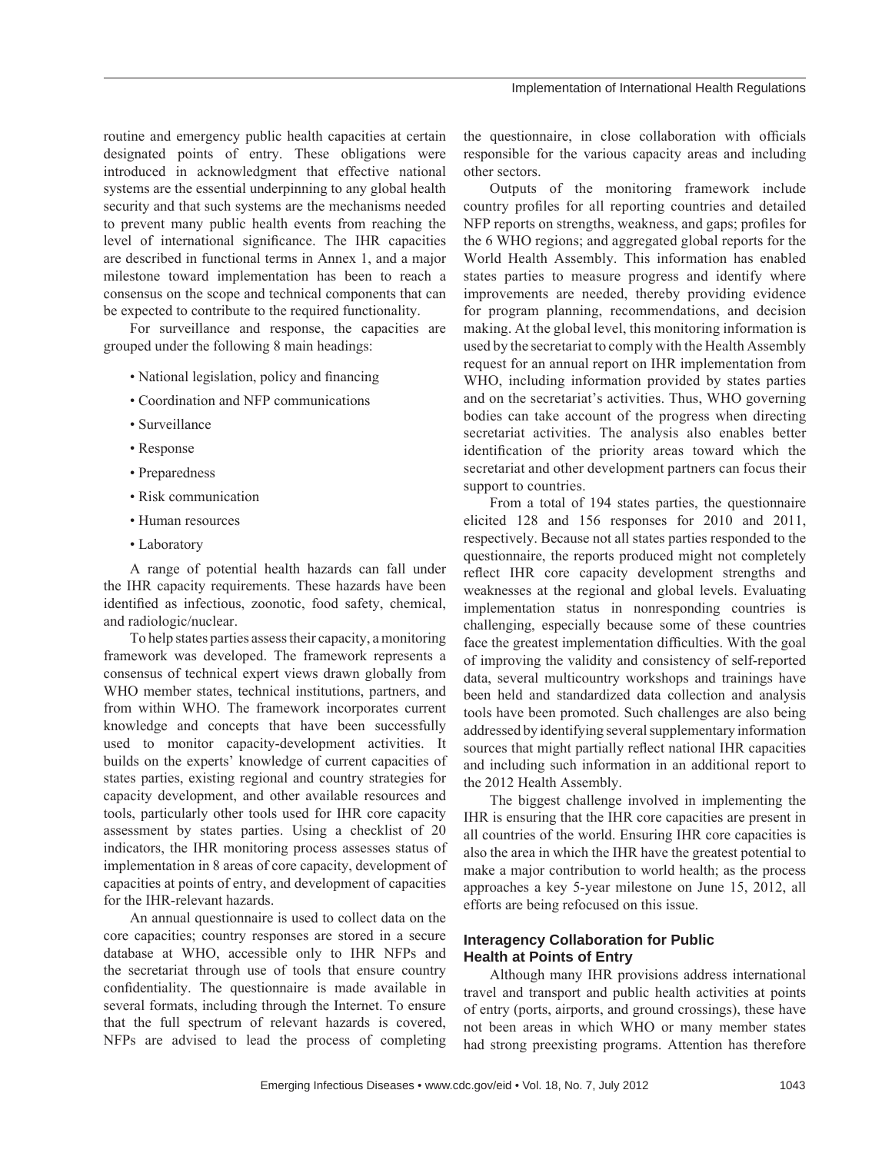routine and emergency public health capacities at certain designated points of entry. These obligations were introduced in acknowledgment that effective national systems are the essential underpinning to any global health security and that such systems are the mechanisms needed to prevent many public health events from reaching the level of international significance. The IHR capacities are described in functional terms in Annex 1, and a major milestone toward implementation has been to reach a consensus on the scope and technical components that can be expected to contribute to the required functionality.

For surveillance and response, the capacities are grouped under the following 8 main headings:

- National legislation, policy and financing
- Coordination and NFP communications
- Surveillance
- Response
- Preparedness
- Risk communication
- Human resources
- Laboratory

A range of potential health hazards can fall under the IHR capacity requirements. These hazards have been identified as infectious, zoonotic, food safety, chemical, and radiologic/nuclear.

To help states parties assess their capacity, a monitoring framework was developed. The framework represents a consensus of technical expert views drawn globally from WHO member states, technical institutions, partners, and from within WHO. The framework incorporates current knowledge and concepts that have been successfully used to monitor capacity-development activities. It builds on the experts' knowledge of current capacities of states parties, existing regional and country strategies for capacity development, and other available resources and tools, particularly other tools used for IHR core capacity assessment by states parties. Using a checklist of 20 indicators, the IHR monitoring process assesses status of implementation in 8 areas of core capacity, development of capacities at points of entry, and development of capacities for the IHR-relevant hazards.

An annual questionnaire is used to collect data on the core capacities; country responses are stored in a secure database at WHO, accessible only to IHR NFPs and the secretariat through use of tools that ensure country confidentiality. The questionnaire is made available in several formats, including through the Internet. To ensure that the full spectrum of relevant hazards is covered, NFPs are advised to lead the process of completing

the questionnaire, in close collaboration with officials responsible for the various capacity areas and including other sectors.

Outputs of the monitoring framework include country profiles for all reporting countries and detailed NFP reports on strengths, weakness, and gaps; profiles for the 6 WHO regions; and aggregated global reports for the World Health Assembly. This information has enabled states parties to measure progress and identify where improvements are needed, thereby providing evidence for program planning, recommendations, and decision making. At the global level, this monitoring information is used by the secretariat to comply with the Health Assembly request for an annual report on IHR implementation from WHO, including information provided by states parties and on the secretariat's activities. Thus, WHO governing bodies can take account of the progress when directing secretariat activities. The analysis also enables better identification of the priority areas toward which the secretariat and other development partners can focus their support to countries.

From a total of 194 states parties, the questionnaire elicited 128 and 156 responses for 2010 and 2011, respectively. Because not all states parties responded to the questionnaire, the reports produced might not completely reflect IHR core capacity development strengths and weaknesses at the regional and global levels. Evaluating implementation status in nonresponding countries is challenging, especially because some of these countries face the greatest implementation difficulties. With the goal of improving the validity and consistency of self-reported data, several multicountry workshops and trainings have been held and standardized data collection and analysis tools have been promoted. Such challenges are also being addressed by identifying several supplementary information sources that might partially reflect national IHR capacities and including such information in an additional report to the 2012 Health Assembly.

The biggest challenge involved in implementing the IHR is ensuring that the IHR core capacities are present in all countries of the world. Ensuring IHR core capacities is also the area in which the IHR have the greatest potential to make a major contribution to world health; as the process approaches a key 5-year milestone on June 15, 2012, all efforts are being refocused on this issue.

## **Interagency Collaboration for Public Health at Points of Entry**

Although many IHR provisions address international travel and transport and public health activities at points of entry (ports, airports, and ground crossings), these have not been areas in which WHO or many member states had strong preexisting programs. Attention has therefore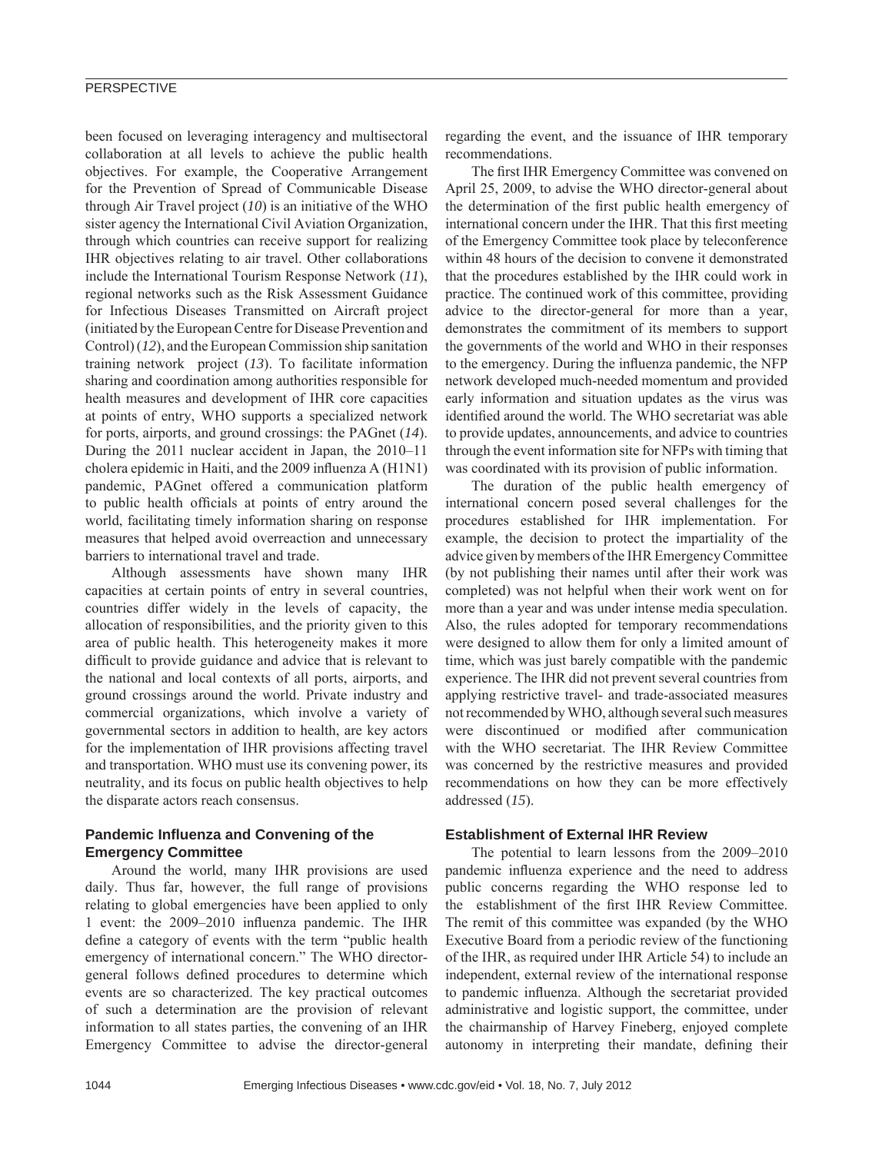# **PERSPECTIVE**

been focused on leveraging interagency and multisectoral collaboration at all levels to achieve the public health objectives. For example, the Cooperative Arrangement for the Prevention of Spread of Communicable Disease through Air Travel project (*10*) is an initiative of the WHO sister agency the International Civil Aviation Organization, through which countries can receive support for realizing IHR objectives relating to air travel. Other collaborations include the International Tourism Response Network (*11*), regional networks such as the Risk Assessment Guidance for Infectious Diseases Transmitted on Aircraft project (initiated by the European Centre for Disease Prevention and Control) (*12*), and the European Commission ship sanitation training network project (*13*). To facilitate information sharing and coordination among authorities responsible for health measures and development of IHR core capacities at points of entry, WHO supports a specialized network for ports, airports, and ground crossings: the PAGnet (*14*). During the 2011 nuclear accident in Japan, the 2010–11 cholera epidemic in Haiti, and the  $2009$  influenza A (H1N1) pandemic, PAGnet offered a communication platform to public health officials at points of entry around the world, facilitating timely information sharing on response measures that helped avoid overreaction and unnecessary barriers to international travel and trade.

Although assessments have shown many IHR capacities at certain points of entry in several countries, countries differ widely in the levels of capacity, the allocation of responsibilities, and the priority given to this area of public health. This heterogeneity makes it more difficult to provide guidance and advice that is relevant to the national and local contexts of all ports, airports, and ground crossings around the world. Private industry and commercial organizations, which involve a variety of governmental sectors in addition to health, are key actors for the implementation of IHR provisions affecting travel and transportation. WHO must use its convening power, its neutrality, and its focus on public health objectives to help the disparate actors reach consensus.

## **Pandemic Influenza and Convening of the Emergency Committee**

Around the world, many IHR provisions are used daily. Thus far, however, the full range of provisions relating to global emergencies have been applied to only 1 event: the 2009–2010 influenza pandemic. The IHR define a category of events with the term "public health" emergency of international concern." The WHO directorgeneral follows defined procedures to determine which events are so characterized. The key practical outcomes of such a determination are the provision of relevant information to all states parties, the convening of an IHR Emergency Committee to advise the director-general

regarding the event, and the issuance of IHR temporary recommendations.

The first IHR Emergency Committee was convened on April 25, 2009, to advise the WHO director-general about the determination of the first public health emergency of international concern under the IHR. That this first meeting of the Emergency Committee took place by teleconference within 48 hours of the decision to convene it demonstrated that the procedures established by the IHR could work in practice. The continued work of this committee, providing advice to the director-general for more than a year, demonstrates the commitment of its members to support the governments of the world and WHO in their responses to the emergency. During the influenza pandemic, the NFP network developed much-needed momentum and provided early information and situation updates as the virus was identified around the world. The WHO secretariat was able to provide updates, announcements, and advice to countries through the event information site for NFPs with timing that was coordinated with its provision of public information.

The duration of the public health emergency of international concern posed several challenges for the procedures established for IHR implementation. For example, the decision to protect the impartiality of the advice given by members of the IHR Emergency Committee (by not publishing their names until after their work was completed) was not helpful when their work went on for more than a year and was under intense media speculation. Also, the rules adopted for temporary recommendations were designed to allow them for only a limited amount of time, which was just barely compatible with the pandemic experience. The IHR did not prevent several countries from applying restrictive travel- and trade-associated measures not recommended by WHO, although several such measures were discontinued or modified after communication with the WHO secretariat. The IHR Review Committee was concerned by the restrictive measures and provided recommendations on how they can be more effectively addressed (*15*).

#### **Establishment of External IHR Review**

The potential to learn lessons from the 2009–2010 pandemic influenza experience and the need to address public concerns regarding the WHO response led to the establishment of the first IHR Review Committee. The remit of this committee was expanded (by the WHO Executive Board from a periodic review of the functioning of the IHR, as required under IHR Article 54) to include an independent, external review of the international response to pandemic influenza. Although the secretariat provided administrative and logistic support, the committee, under the chairmanship of Harvey Fineberg, enjoyed complete autonomy in interpreting their mandate, defining their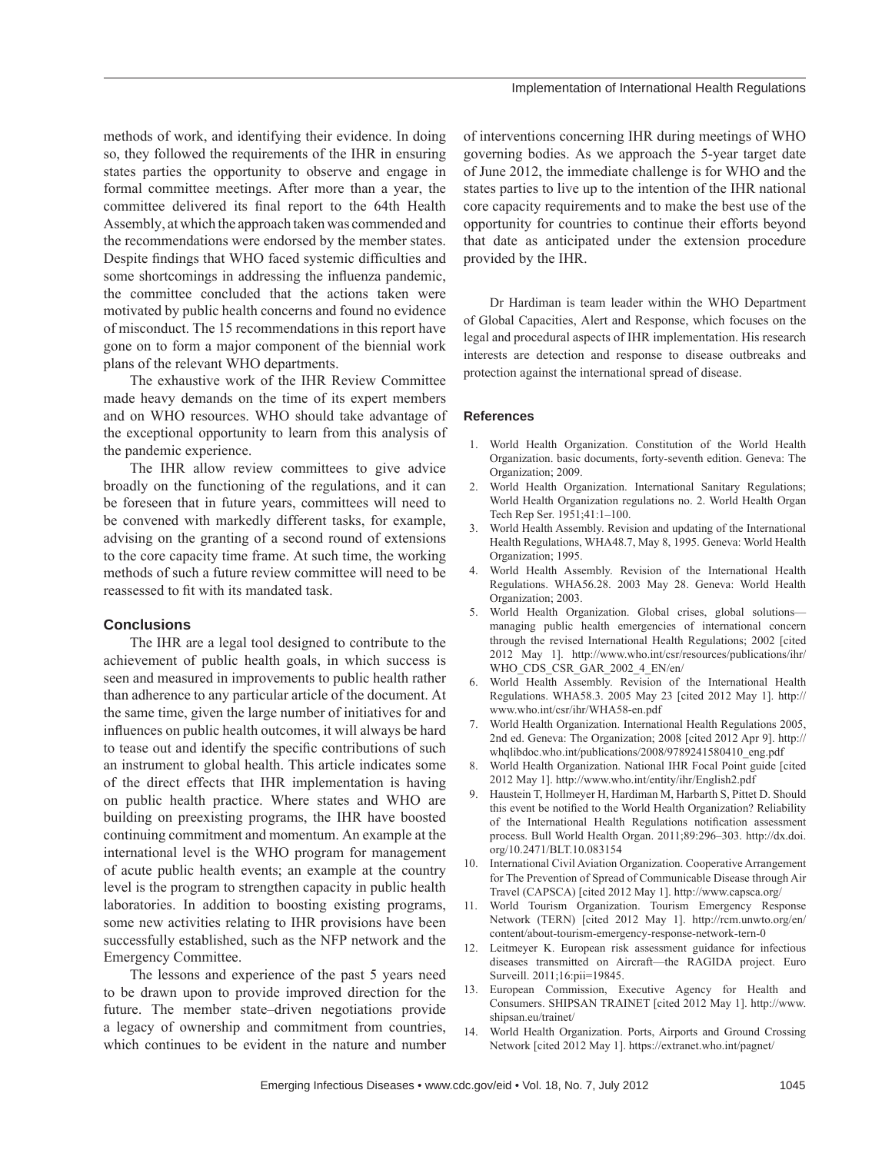methods of work, and identifying their evidence. In doing so, they followed the requirements of the IHR in ensuring states parties the opportunity to observe and engage in formal committee meetings. After more than a year, the committee delivered its final report to the 64th Health Assembly, at which the approach taken was commended and the recommendations were endorsed by the member states. Despite findings that WHO faced systemic difficulties and some shortcomings in addressing the influenza pandemic, the committee concluded that the actions taken were motivated by public health concerns and found no evidence of misconduct. The 15 recommendations in this report have gone on to form a major component of the biennial work plans of the relevant WHO departments.

The exhaustive work of the IHR Review Committee made heavy demands on the time of its expert members and on WHO resources. WHO should take advantage of the exceptional opportunity to learn from this analysis of the pandemic experience.

The IHR allow review committees to give advice broadly on the functioning of the regulations, and it can be foreseen that in future years, committees will need to be convened with markedly different tasks, for example, advising on the granting of a second round of extensions to the core capacity time frame. At such time, the working methods of such a future review committee will need to be reassessed to fit with its mandated task.

#### **Conclusions**

The IHR are a legal tool designed to contribute to the achievement of public health goals, in which success is seen and measured in improvements to public health rather than adherence to any particular article of the document. At the same time, given the large number of initiatives for and influences on public health outcomes, it will always be hard to tease out and identify the specific contributions of such an instrument to global health. This article indicates some of the direct effects that IHR implementation is having on public health practice. Where states and WHO are building on preexisting programs, the IHR have boosted continuing commitment and momentum. An example at the international level is the WHO program for management of acute public health events; an example at the country level is the program to strengthen capacity in public health laboratories. In addition to boosting existing programs, some new activities relating to IHR provisions have been successfully established, such as the NFP network and the Emergency Committee.

The lessons and experience of the past 5 years need to be drawn upon to provide improved direction for the future. The member state–driven negotiations provide a legacy of ownership and commitment from countries, which continues to be evident in the nature and number of interventions concerning IHR during meetings of WHO governing bodies. As we approach the 5-year target date of June 2012, the immediate challenge is for WHO and the states parties to live up to the intention of the IHR national core capacity requirements and to make the best use of the opportunity for countries to continue their efforts beyond that date as anticipated under the extension procedure provided by the IHR.

Dr Hardiman is team leader within the WHO Department of Global Capacities, Alert and Response, which focuses on the legal and procedural aspects of IHR implementation. His research interests are detection and response to disease outbreaks and protection against the international spread of disease.

#### **References**

- 1. World Health Organization. Constitution of the World Health Organization. basic documents, forty-seventh edition. Geneva: The Organization; 2009.
- 2. World Health Organization. International Sanitary Regulations; World Health Organization regulations no. 2. World Health Organ Tech Rep Ser. 1951;41:1–100.
- 3. World Health Assembly. Revision and updating of the International Health Regulations, WHA48.7, May 8, 1995. Geneva: World Health Organization; 1995.
- 4. World Health Assembly. Revision of the International Health Regulations. WHA56.28. 2003 May 28. Geneva: World Health Organization; 2003.
- 5. World Health Organization. Global crises, global solutions managing public health emergencies of international concern through the revised International Health Regulations; 2002 [cited 2012 May 1]. http://www.who.int/csr/resources/publications/ihr/ WHO\_CDS\_CSR\_GAR\_2002\_4\_EN/en/
- 6. World Health Assembly. Revision of the International Health Regulations. WHA58.3. 2005 May 23 [cited 2012 May 1]. http:// www.who.int/csr/ihr/WHA58-en.pdf
- 7. World Health Organization. International Health Regulations 2005, 2nd ed. Geneva: The Organization; 2008 [cited 2012 Apr 9]. http:// whqlibdoc.who.int/publications/2008/9789241580410\_eng.pdf
- 8. World Health Organization. National IHR Focal Point guide [cited 2012 May 1]. http://www.who.int/entity/ihr/English2.pdf
- 9. Haustein T, Hollmeyer H, Hardiman M, Harbarth S, Pittet D. Should this event be notified to the World Health Organization? Reliability of the International Health Regulations notification assessment process. Bull World Health Organ. 2011;89:296–303. http://dx.doi. org/10.2471/BLT.10.083154
- 10. International Civil Aviation Organization. Cooperative Arrangement for The Prevention of Spread of Communicable Disease through Air Travel (CAPSCA) [cited 2012 May 1]. http://www.capsca.org/
- 11. World Tourism Organization. Tourism Emergency Response Network (TERN) [cited 2012 May 1]. http://rcm.unwto.org/en/ content/about-tourism-emergency-response-network-tern-0
- 12. Leitmeyer K. European risk assessment guidance for infectious diseases transmitted on Aircraft—the RAGIDA project. Euro Surveill. 2011;16:pii=19845.
- 13. European Commission, Executive Agency for Health and Consumers. SHIPSAN TRAINET [cited 2012 May 1]. http://www. shipsan.eu/trainet/
- 14. World Health Organization. Ports, Airports and Ground Crossing Network [cited 2012 May 1]. https://extranet.who.int/pagnet/